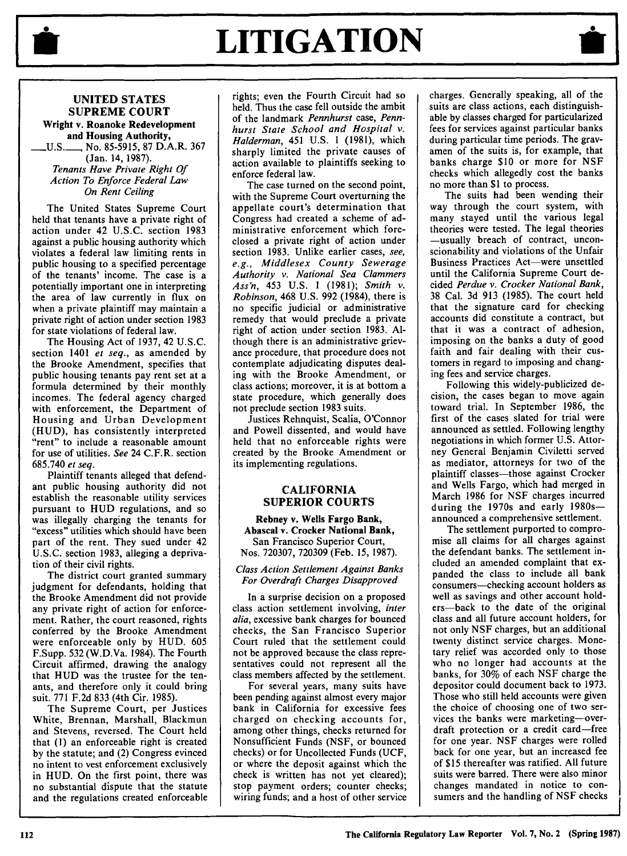

# LITIGATION



### **UNITED STATES SUPREME COURT**

**Wright v. Roanoke Redevelopment and Housing Authority, U.S\_\_\_\_** No. **85-5915, 87 D.A.R. 367 (Jan. 14, 1987).** *Tenants Have Private Right Of Action To Enforce Federal Law*

*On Rent Ceiling*

The United States Supreme Court held that tenants have a private right of action under 42 **U.S.C.** section **1983** against a public housing authority which violates a federal law limiting rents in public housing to a specified percentage of the tenants' income. The case is a potentially important one in interpreting the area of law currently in flux on when a private plaintiff may maintain a private right of action under section **1983** for state violations of federal law.

The Housing Act of **1937,** 42 **U.S.C.** section 1401 *et seq.,* as amended **by** the Brooke Amendment, specifies that public housing tenants pay rent set at a formula determined **by** their monthly incomes. The federal agency charged with enforcement, the Department of Housing and Urban Development **(HUD),** has consistently interpreted "rent" to include a reasonable amount for use of utilities. *See* 24 C.F.R. section **685.740** *et seq.*

Plaintiff tenants alleged that defendant public housing authority did not establish the reasonable utility services pursuant to HUD regulations, and so was illegally charging the tenants for "excess" utilities which should have been part of the rent. They sued under 42 U.S.C. section 1983, alleging a deprivation of their civil rights.

The district court granted summary judgment for defendants, holding that the Brooke Amendment did not provide any private right of action for enforcement. Rather, the court reasoned, rights conferred by the Brooke Amendment were enforceable only by HUD. 605 F.Supp. 532 (W.D.Va. 1984). The Fourth Circuit affirmed, drawing the analogy that HUD was the trustee for the tenants, and therefore only it could bring suit. 771 F.2d 833 (4th Cir. 1985).

The Supreme Court, per Justices White, Brennan, Marshall, Blackmun and Stevens, reversed. The Court held that (1) an enforceable right is created by the statute; and (2) Congress evinced no intent to vest enforcement exclusively in HUD. On the first point, there was no substantial dispute that the statute and the regulations created enforceable rights; even the Fourth Circuit had so held. Thus the case fell outside the ambit of the landmark *Pennhurst* case, *Pennhurst State School and Hospital v. Halderman,* 451 U.S. 1 (1981), which sharply limited the private causes of action available to plaintiffs seeking to enforce federal law.

The case turned on the second point, with the Supreme Court overturning the appellate court's determination that Congress had created a scheme of administrative enforcement which foreclosed a private right of action under section 1983. Unlike earlier cases, *see, e.g., Middlesex County Sewerage Authority v. National Sea Clammers Ass'n,* 453 U.S. 1 (1981); *Smith v. Robinson,* 468 U.S. 992 (1984), there is no specific judicial or administrative remedy that would preclude a private right of action under section 1983. Although there is an administrative grievance procedure, that procedure does not contemplate adjudicating disputes dealing with the Brooke Amendment, or class actions; moreover, it is at bottom a state procedure, which generally does not preclude section 1983 suits.

Justices Rehnquist, Scalia, O'Connor and Powell dissented, and would have held that no enforceable rights were created by the Brooke Amendment or its implementing regulations.

#### CALIFORNIA SUPERIOR **COURTS**

**Rebney v. Wells Fargo Bank, Abascal v. Crocker National Bank,** San Francisco Superior Court, Nos. **720307, 720309** (Feb. **15, 1987).**

#### *Class Action Settlement Against Banks For Overdraft Charges Disapproved*

In a surprise decision on a proposed class action settlement involving, *inter alia,* excessive bank charges for bounced checks, the San Francisco Superior Court ruled that the settlement could not be approved because the class representatives could not represent all the class members affected **by** the settlement.

For several years, many suits have been pending against almost every major bank in California for excessive fees charged on checking accounts for, among other things, checks returned for Nonsufficient Funds **(NSF,** or bounced checks) or for Uncollected Funds **(UCF,** or where the deposit against which the check is written has not yet cleared); stop payment orders; counter checks; wiring funds; and a host of other service

charges. Generally speaking, all of the suits are class actions, each distinguishable by classes charged for particularized fees for services against particular banks during particular time periods. The gravamen of the suits is, for example, that banks charge \$10 or more for NSF checks which allegedly cost the banks no more than \$1 to process.

The suits had been wending their way through the court system, with many stayed until the various legal theories were tested. The legal theories -usually breach of contract, unconscionability and violations of the Unfair Business Practices Act-were unsettled until the California Supreme Court decided *Perdue v. Crocker National Bank,* 38 Cal. 3d 913 (1985). The court held that the signature card for checking accounts did constitute a contract, but that it was a contract of adhesion, imposing on the banks a duty of good faith and fair dealing with their customers in regard to imposing and changing fees and service charges.

Following this widely-publicized decision, the cases began to move again toward trial. In September 1986, the first of the cases slated for trial were announced as settled. Following lengthy negotiations in which former U.S. Attorney General Benjamin Civiletti served as mediator, attorneys for two of the plaintiff classes-those against Crocker and Wells Fargo, which had merged in March 1986 for NSF charges incurred during the 1970s and early 1980sannounced a comprehensive settlement.

The settlement purported to compromise all claims for all charges against the defendant banks. The settlement included an amended complaint that expanded the class to include all bank consumers-checking account holders as well as savings and other account holders-back to the date of the original class and all future account holders, for not only NSF charges, but an additional twenty distinct service charges. Monetary relief was accorded only to those who no longer had accounts at the banks, for 30% of each NSF charge the depositor could document back to 1973. Those who still held accounts were given the choice of choosing one of two services the banks were marketing-overdraft protection or a credit card-free for one year. NSF charges were rolled back for one year, but an increased fee of \$15 thereafter was ratified. All future suits were barred. There were also minor changes mandated in notice to consumers and the handling of NSF checks